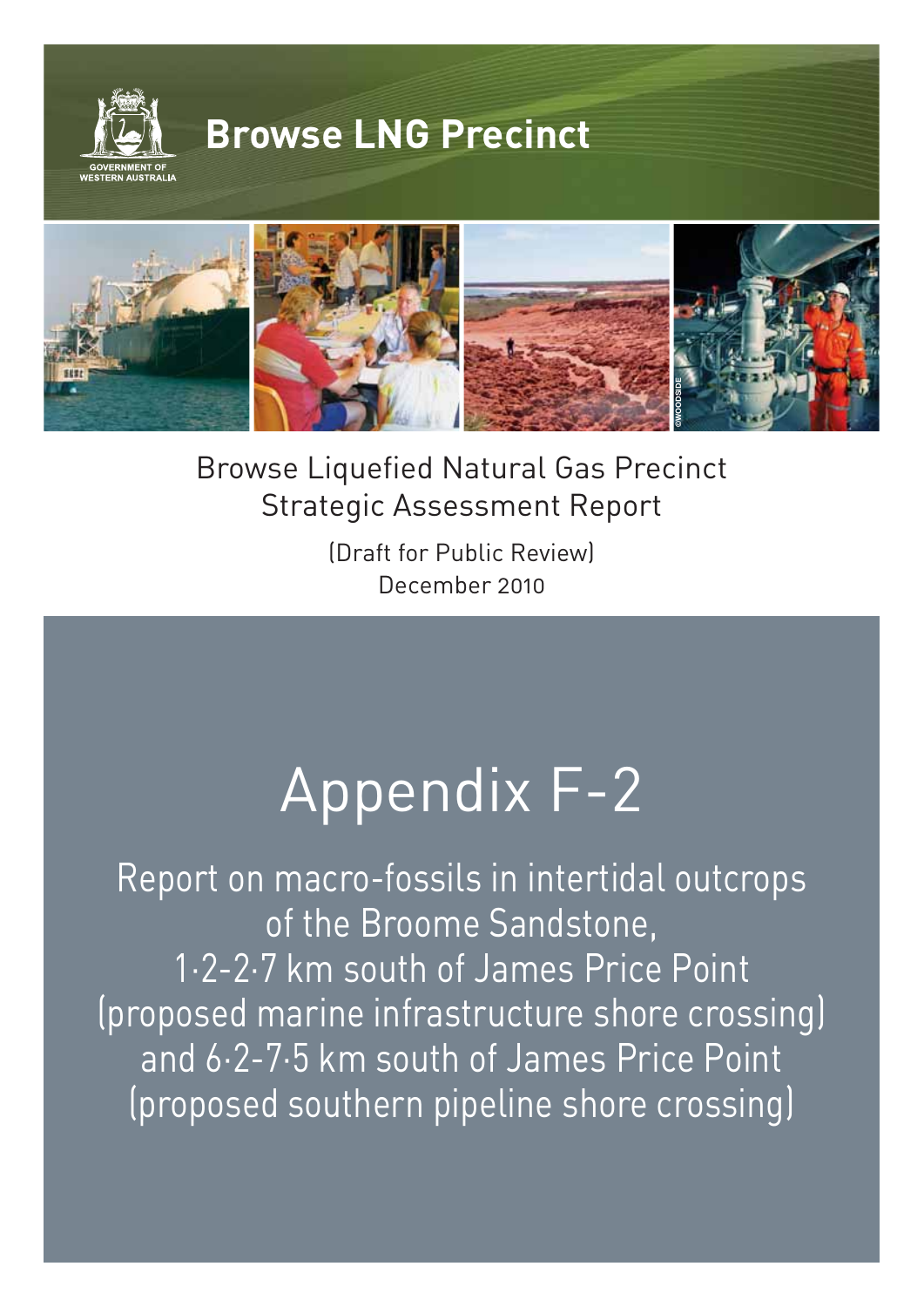

Browse Liquefied Natural Gas Precinct Strategic Assessment Report

**©WOODSIDE**

(Draft for Public Review) December 2010

# Appendix F-2

Report on macro-fossils in intertidal outcrops of the Broome Sandstone, 1·2-2·7 km south of James Price Point (proposed marine infrastructure shore crossing) and 6·2-7·5 km south of James Price Point (proposed southern pipeline shore crossing)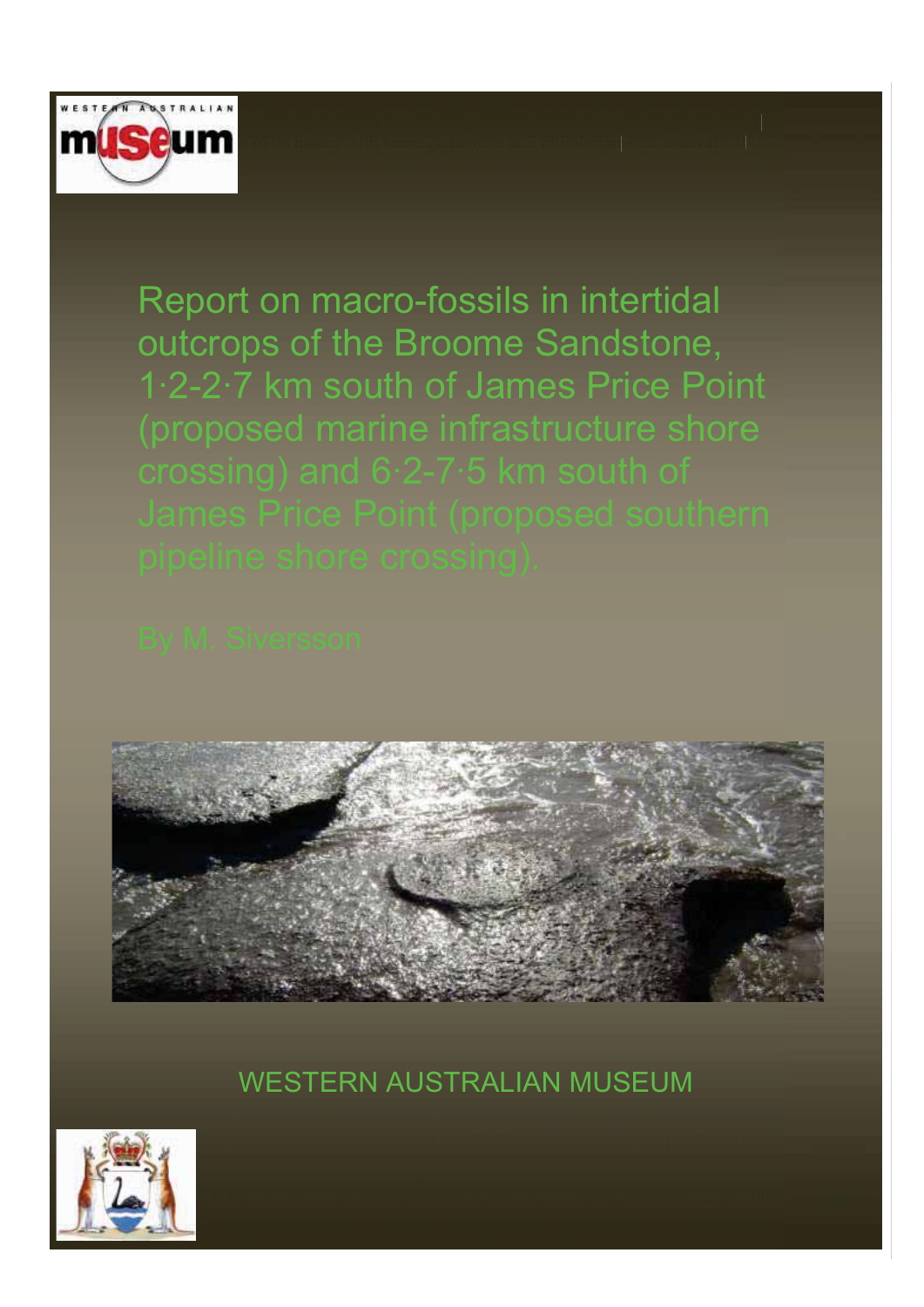

Report on macro-fossils in intertidal outcrops of the Broome Sandstone, 1·2-2·7 km south of James Price Point



WESTERN AUSTRALIAN MUSEUM

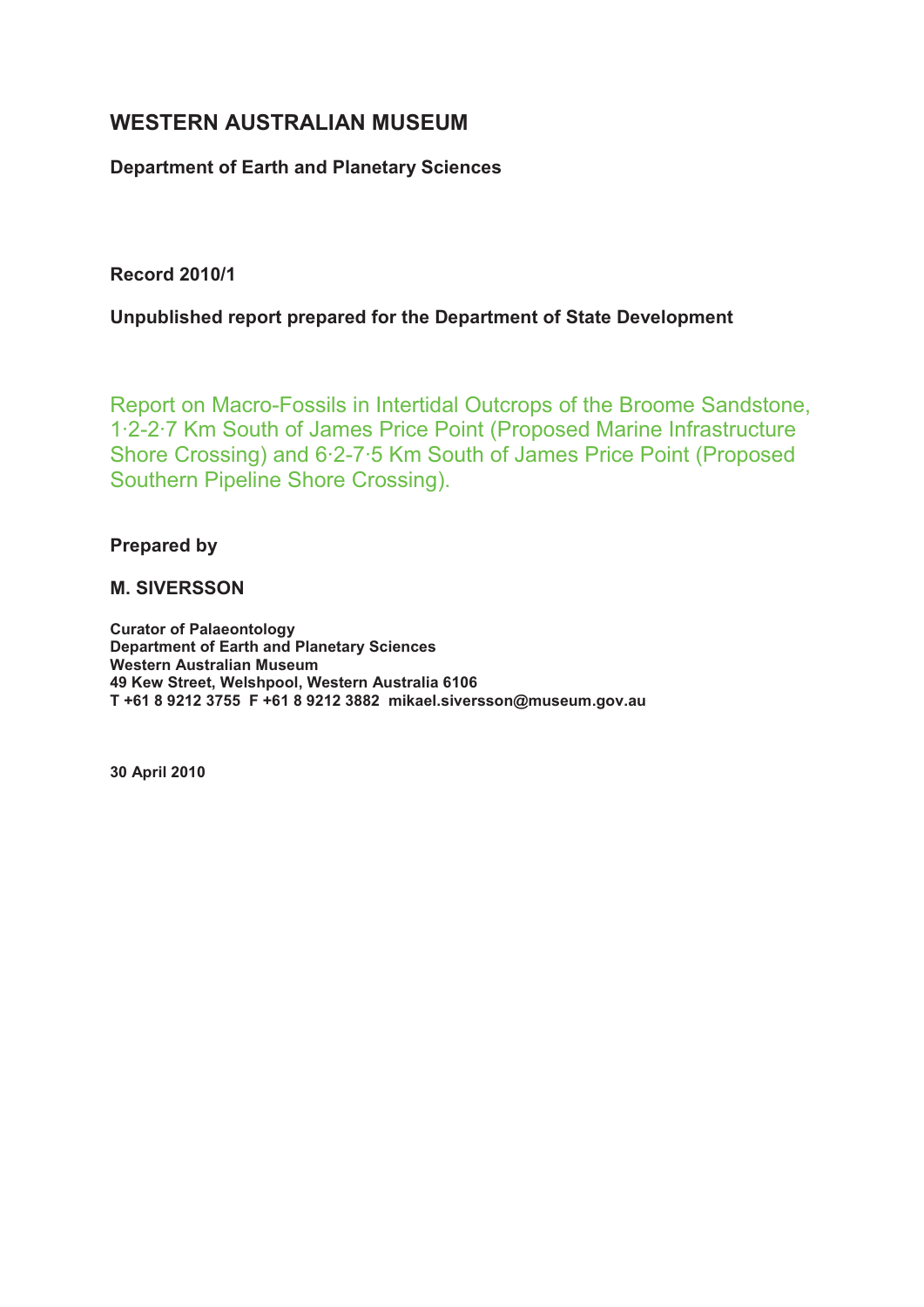# **WESTERN AUSTRALIAN MUSEUM**

#### **Department of Earth and Planetary Sciences**

**Record 2010/1** 

**Unpublished report prepared for the Department of State Development** 

Report on Macro-Fossils in Intertidal Outcrops of the Broome Sandstone, 1·2-2·7 Km South of James Price Point (Proposed Marine Infrastructure Shore Crossing) and 6·2-7·5 Km South of James Price Point (Proposed Southern Pipeline Shore Crossing).

**Prepared by** 

#### **M. SIVERSSON**

**Curator of Palaeontology Department of Earth and Planetary Sciences Western Australian Museum 49 Kew Street, Welshpool, Western Australia 6106 T +61 8 9212 3755 F +61 8 9212 3882 mikael.siversson@museum.gov.au** 

**30 April 2010**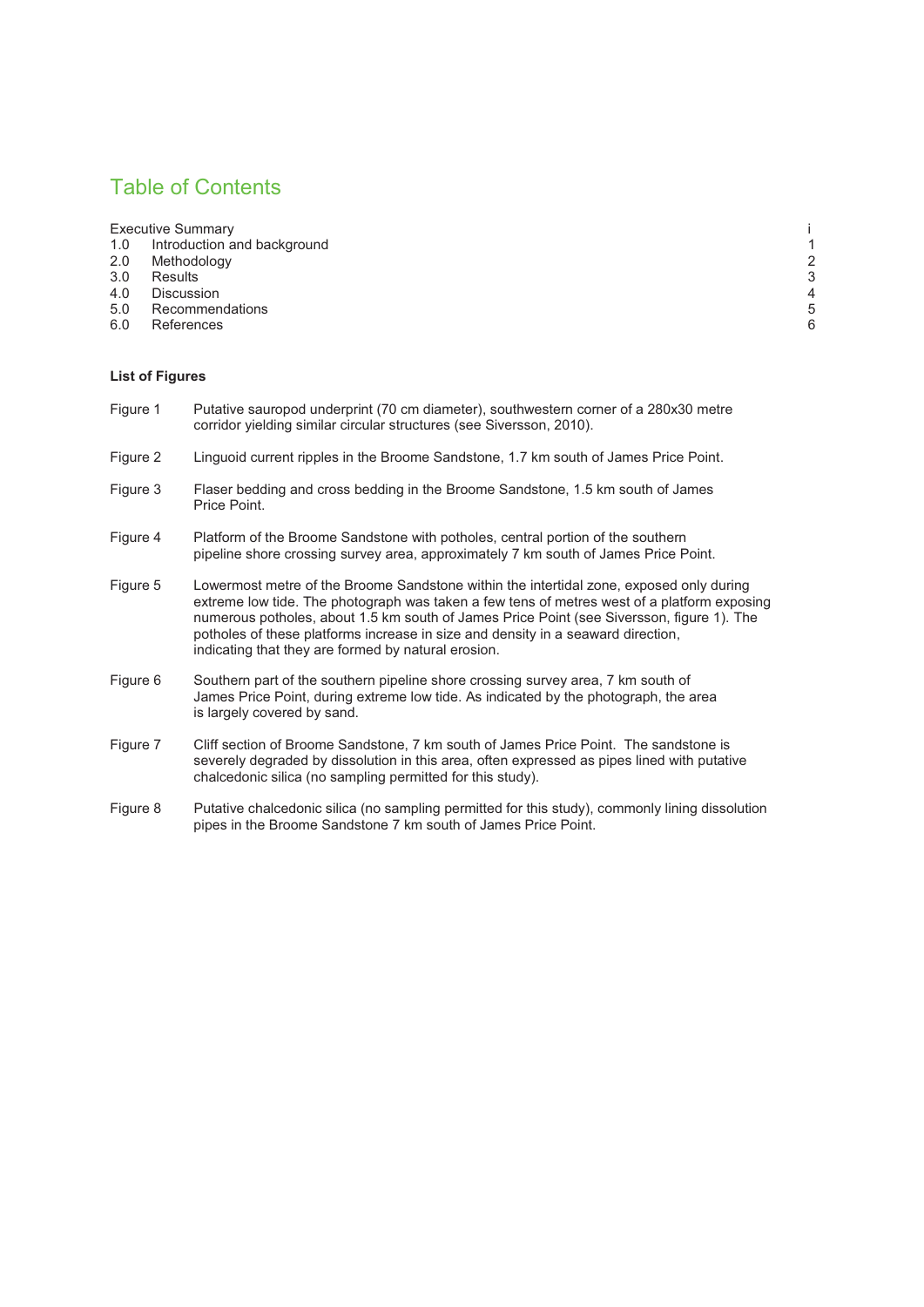#### Table of Contents

- Executive Summary intervention and background intervention and background intervention and the state of the state of the state of the state of the state of the state of the state of the state of the state of the state of t 1.0 Introduction and background the control of the control of the control of the control of the control of the control of the control of the control of the control of the control of the control of the control of the contro
- 2.0 Methodology 2<br>
3.0 Results 3
- 3.0 Results 3
- 4.0 Discussion 4
- 4.0 Discussion 4<br>5.0 Recommendations 5
- 6.0 References 6

#### **List of Figures**

- Figure 1 Putative sauropod underprint (70 cm diameter), southwestern corner of a 280x30 metre corridor yielding similar circular structures (see Siversson, 2010).
- Figure 2 Linguoid current ripples in the Broome Sandstone, 1.7 km south of James Price Point.
- Figure 3 Flaser bedding and cross bedding in the Broome Sandstone, 1.5 km south of James Price Point.
- Figure 4 Platform of the Broome Sandstone with potholes, central portion of the southern pipeline shore crossing survey area, approximately 7 km south of James Price Point.
- Figure 5 Lowermost metre of the Broome Sandstone within the intertidal zone, exposed only during extreme low tide. The photograph was taken a few tens of metres west of a platform exposing numerous potholes, about 1.5 km south of James Price Point (see Siversson, figure 1). The potholes of these platforms increase in size and density in a seaward direction, indicating that they are formed by natural erosion.
- Figure 6 Southern part of the southern pipeline shore crossing survey area, 7 km south of James Price Point, during extreme low tide. As indicated by the photograph, the area is largely covered by sand.
- Figure 7 Cliff section of Broome Sandstone, 7 km south of James Price Point. The sandstone is severely degraded by dissolution in this area, often expressed as pipes lined with putative chalcedonic silica (no sampling permitted for this study).
- Figure 8 Putative chalcedonic silica (no sampling permitted for this study), commonly lining dissolution pipes in the Broome Sandstone 7 km south of James Price Point.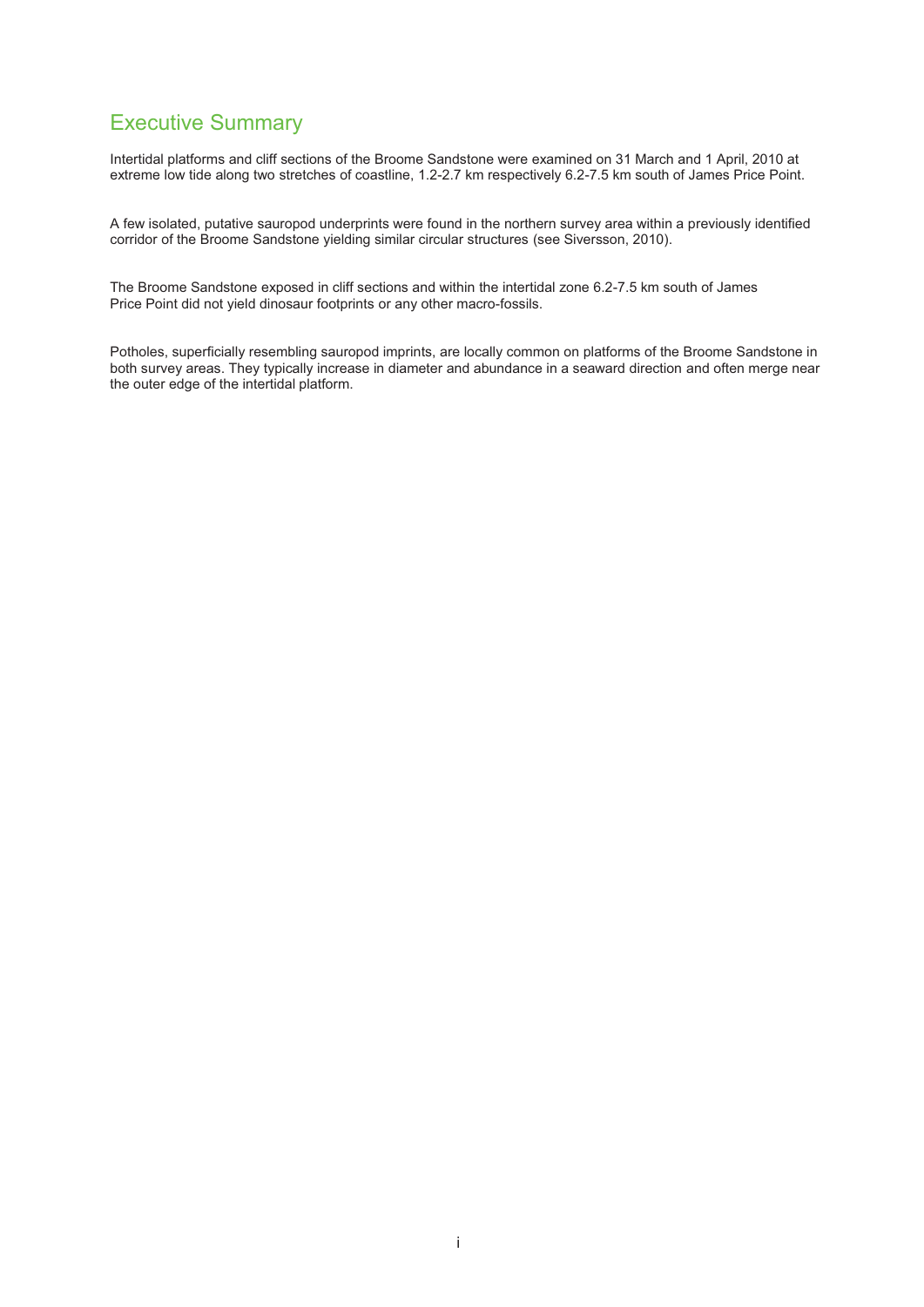#### Executive Summary

Intertidal platforms and cliff sections of the Broome Sandstone were examined on 31 March and 1 April, 2010 at extreme low tide along two stretches of coastline, 1.2-2.7 km respectively 6.2-7.5 km south of James Price Point.

A few isolated, putative sauropod underprints were found in the northern survey area within a previously identified corridor of the Broome Sandstone yielding similar circular structures (see Siversson, 2010).

The Broome Sandstone exposed in cliff sections and within the intertidal zone 6.2-7.5 km south of James Price Point did not yield dinosaur footprints or any other macro-fossils.

Potholes, superficially resembling sauropod imprints, are locally common on platforms of the Broome Sandstone in both survey areas. They typically increase in diameter and abundance in a seaward direction and often merge near the outer edge of the intertidal platform.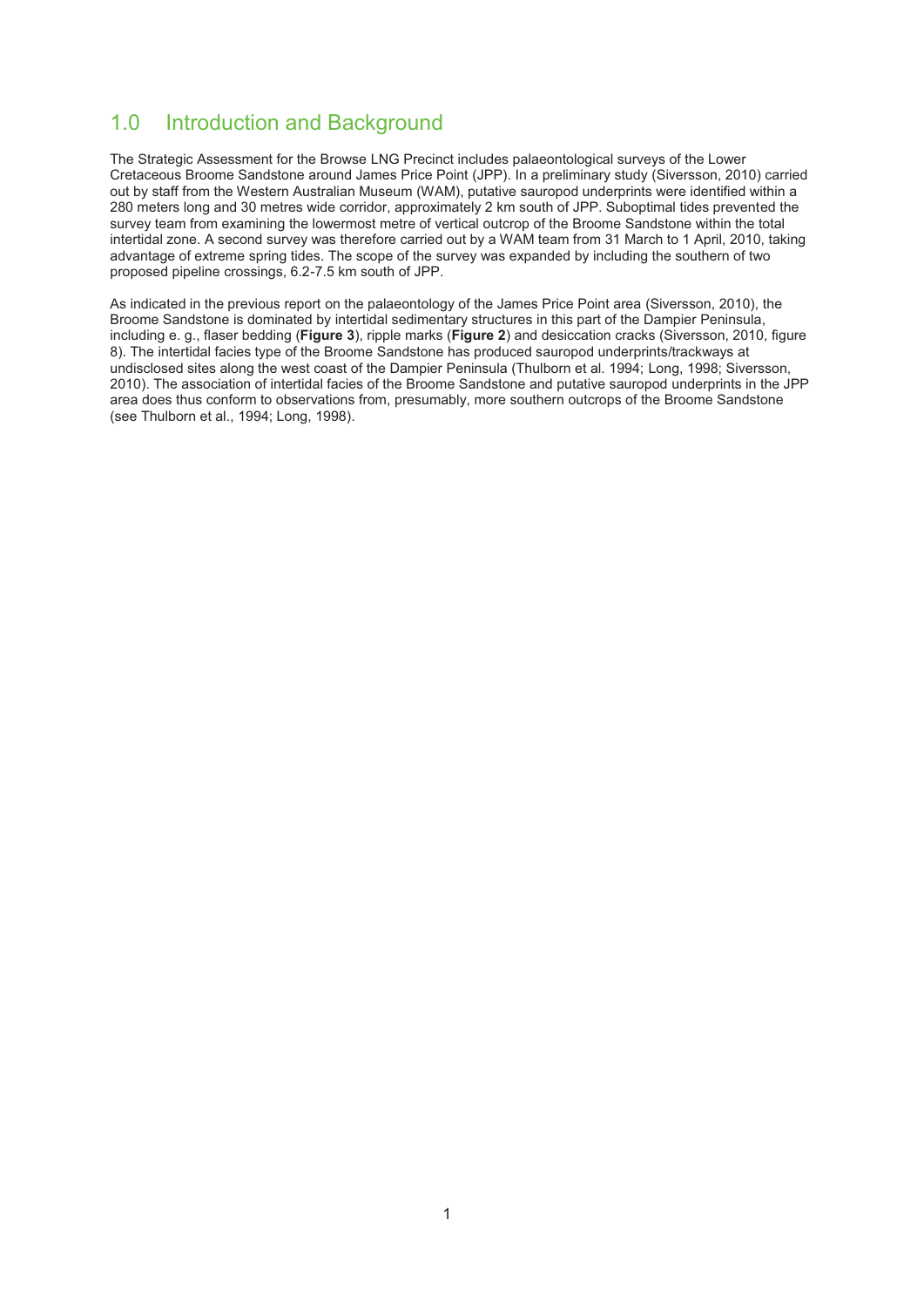# 1.0 Introduction and Background

The Strategic Assessment for the Browse LNG Precinct includes palaeontological surveys of the Lower Cretaceous Broome Sandstone around James Price Point (JPP). In a preliminary study (Siversson, 2010) carried out by staff from the Western Australian Museum (WAM), putative sauropod underprints were identified within a 280 meters long and 30 metres wide corridor, approximately 2 km south of JPP. Suboptimal tides prevented the survey team from examining the lowermost metre of vertical outcrop of the Broome Sandstone within the total intertidal zone. A second survey was therefore carried out by a WAM team from 31 March to 1 April, 2010, taking advantage of extreme spring tides. The scope of the survey was expanded by including the southern of two proposed pipeline crossings, 6.2-7.5 km south of JPP.

As indicated in the previous report on the palaeontology of the James Price Point area (Siversson, 2010), the Broome Sandstone is dominated by intertidal sedimentary structures in this part of the Dampier Peninsula, including e. g., flaser bedding (**Figure 3**), ripple marks (**Figure 2**) and desiccation cracks (Siversson, 2010, figure 8). The intertidal facies type of the Broome Sandstone has produced sauropod underprints/trackways at undisclosed sites along the west coast of the Dampier Peninsula (Thulborn et al. 1994; Long, 1998; Siversson, 2010). The association of intertidal facies of the Broome Sandstone and putative sauropod underprints in the JPP area does thus conform to observations from, presumably, more southern outcrops of the Broome Sandstone (see Thulborn et al., 1994; Long, 1998).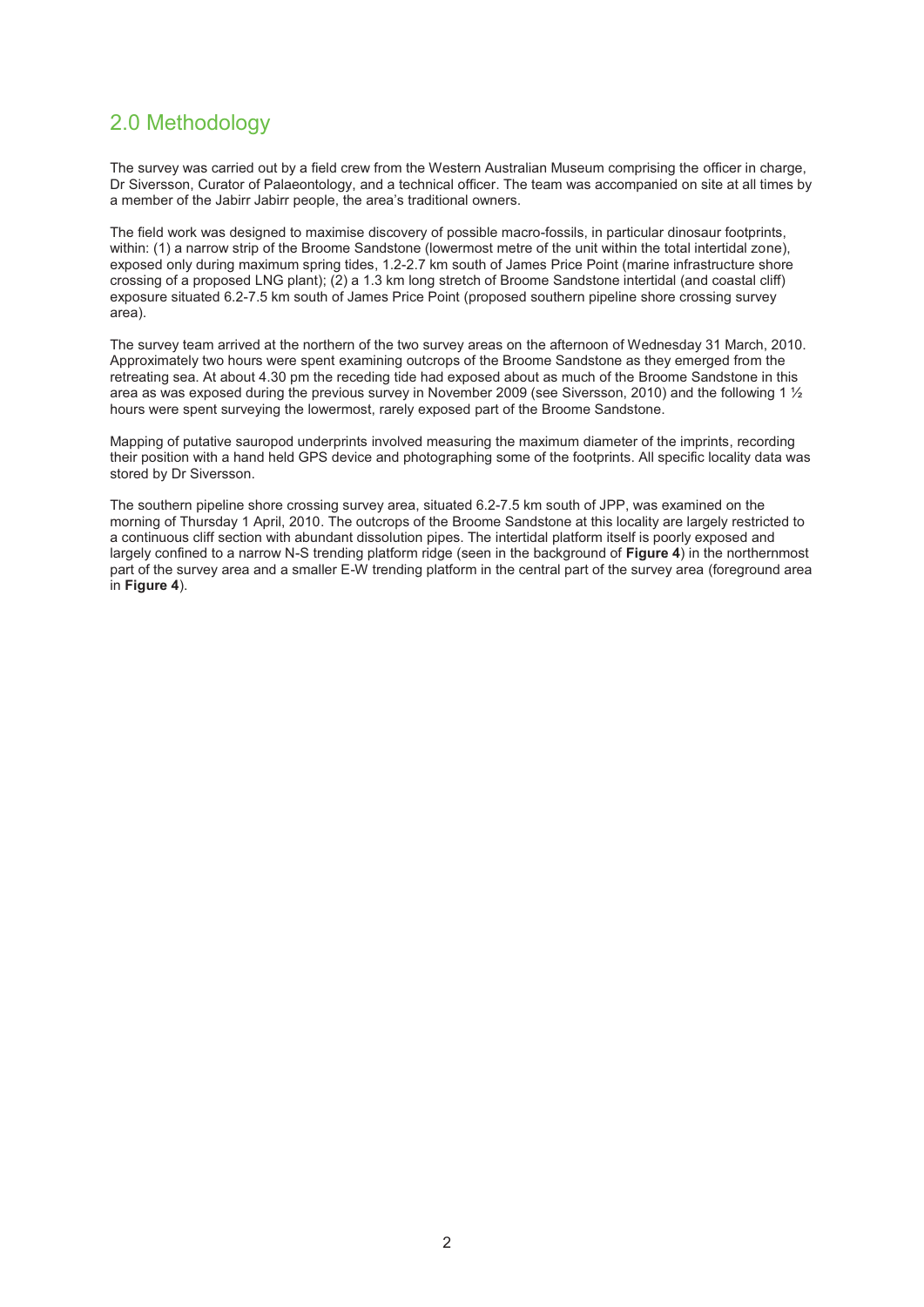# 2.0 Methodology

The survey was carried out by a field crew from the Western Australian Museum comprising the officer in charge, Dr Siversson, Curator of Palaeontology, and a technical officer. The team was accompanied on site at all times by a member of the Jabirr Jabirr people, the area's traditional owners.

The field work was designed to maximise discovery of possible macro-fossils, in particular dinosaur footprints, within: (1) a narrow strip of the Broome Sandstone (lowermost metre of the unit within the total intertidal zone), exposed only during maximum spring tides, 1.2-2.7 km south of James Price Point (marine infrastructure shore crossing of a proposed LNG plant); (2) a 1.3 km long stretch of Broome Sandstone intertidal (and coastal cliff) exposure situated 6.2-7.5 km south of James Price Point (proposed southern pipeline shore crossing survey area).

The survey team arrived at the northern of the two survey areas on the afternoon of Wednesday 31 March, 2010. Approximately two hours were spent examining outcrops of the Broome Sandstone as they emerged from the retreating sea. At about 4.30 pm the receding tide had exposed about as much of the Broome Sandstone in this area as was exposed during the previous survey in November 2009 (see Siversson, 2010) and the following 1 ½ hours were spent surveying the lowermost, rarely exposed part of the Broome Sandstone.

Mapping of putative sauropod underprints involved measuring the maximum diameter of the imprints, recording their position with a hand held GPS device and photographing some of the footprints. All specific locality data was stored by Dr Siversson.

The southern pipeline shore crossing survey area, situated 6.2-7.5 km south of JPP, was examined on the morning of Thursday 1 April, 2010. The outcrops of the Broome Sandstone at this locality are largely restricted to a continuous cliff section with abundant dissolution pipes. The intertidal platform itself is poorly exposed and largely confined to a narrow N-S trending platform ridge (seen in the background of **Figure 4**) in the northernmost part of the survey area and a smaller E-W trending platform in the central part of the survey area (foreground area in **Figure 4**).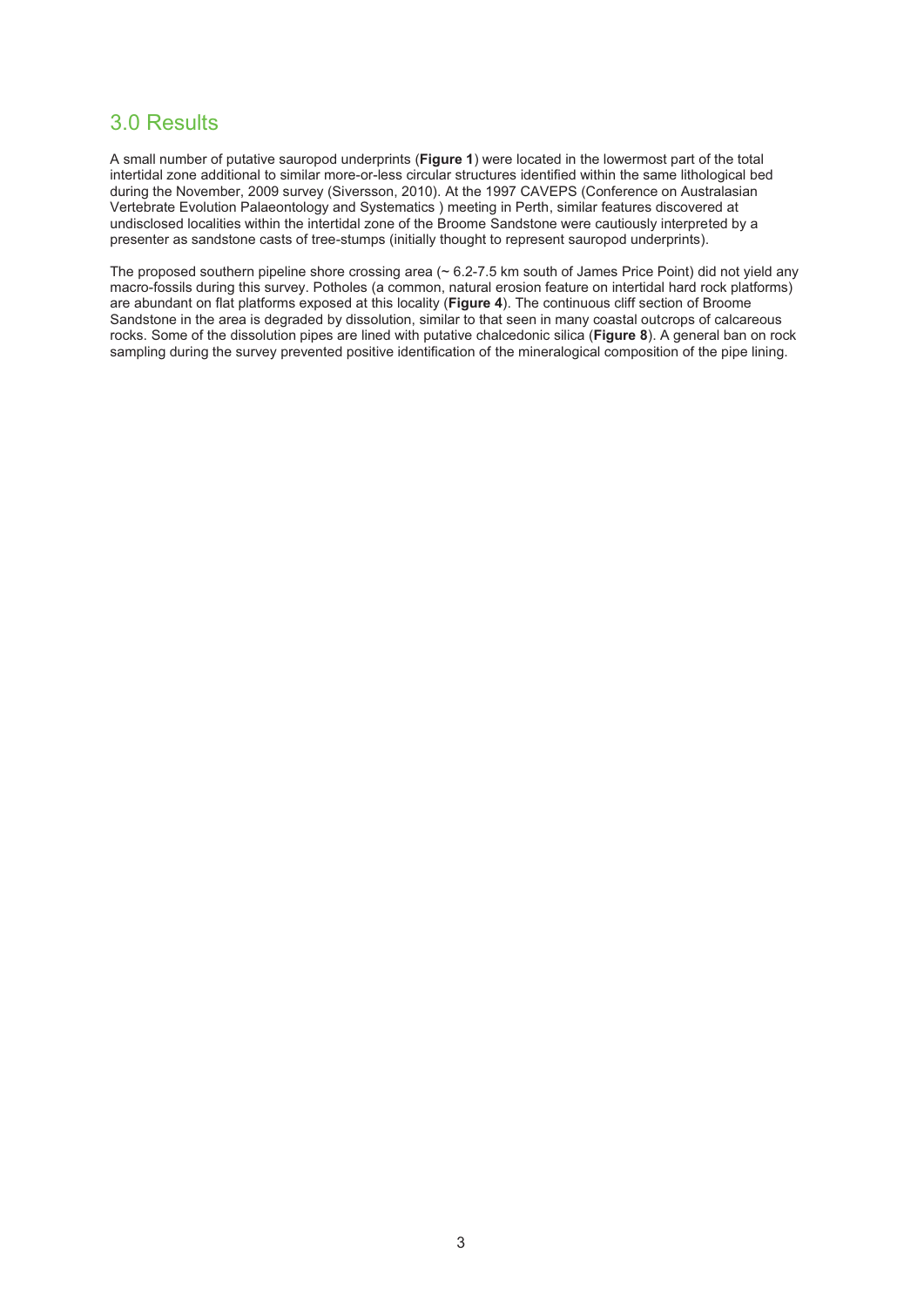#### 3.0 Results

A small number of putative sauropod underprints (**Figure 1**) were located in the lowermost part of the total intertidal zone additional to similar more-or-less circular structures identified within the same lithological bed during the November, 2009 survey (Siversson, 2010). At the 1997 CAVEPS (Conference on Australasian Vertebrate Evolution Palaeontology and Systematics ) meeting in Perth, similar features discovered at undisclosed localities within the intertidal zone of the Broome Sandstone were cautiously interpreted by a presenter as sandstone casts of tree-stumps (initially thought to represent sauropod underprints).

The proposed southern pipeline shore crossing area (~ 6.2-7.5 km south of James Price Point) did not yield any macro-fossils during this survey. Potholes (a common, natural erosion feature on intertidal hard rock platforms) are abundant on flat platforms exposed at this locality (**Figure 4**). The continuous cliff section of Broome Sandstone in the area is degraded by dissolution, similar to that seen in many coastal outcrops of calcareous rocks. Some of the dissolution pipes are lined with putative chalcedonic silica (**Figure 8**). A general ban on rock sampling during the survey prevented positive identification of the mineralogical composition of the pipe lining.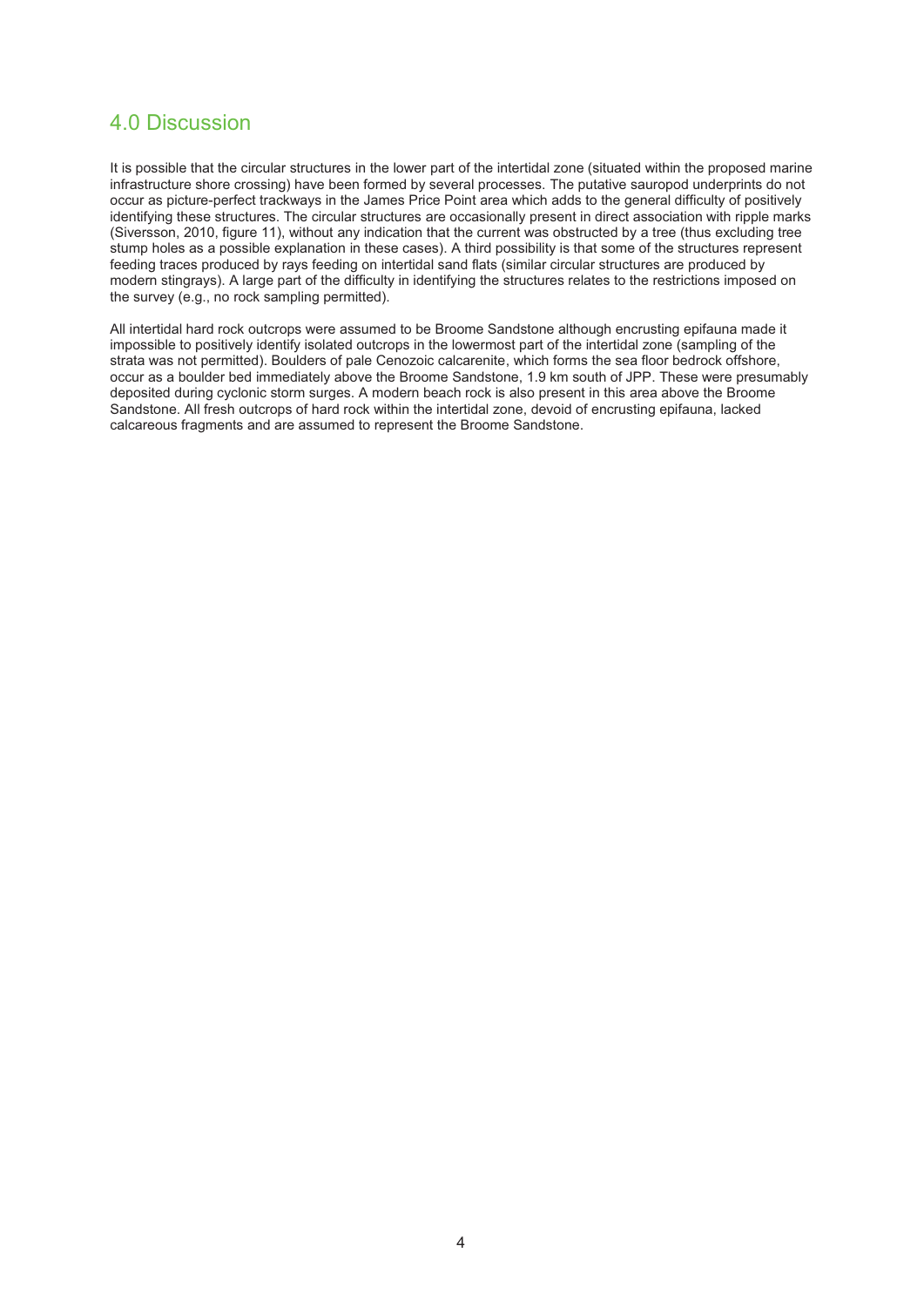#### 4.0 Discussion

It is possible that the circular structures in the lower part of the intertidal zone (situated within the proposed marine infrastructure shore crossing) have been formed by several processes. The putative sauropod underprints do not occur as picture-perfect trackways in the James Price Point area which adds to the general difficulty of positively identifying these structures. The circular structures are occasionally present in direct association with ripple marks (Siversson, 2010, figure 11), without any indication that the current was obstructed by a tree (thus excluding tree stump holes as a possible explanation in these cases). A third possibility is that some of the structures represent feeding traces produced by rays feeding on intertidal sand flats (similar circular structures are produced by modern stingrays). A large part of the difficulty in identifying the structures relates to the restrictions imposed on the survey (e.g., no rock sampling permitted).

All intertidal hard rock outcrops were assumed to be Broome Sandstone although encrusting epifauna made it impossible to positively identify isolated outcrops in the lowermost part of the intertidal zone (sampling of the strata was not permitted). Boulders of pale Cenozoic calcarenite, which forms the sea floor bedrock offshore, occur as a boulder bed immediately above the Broome Sandstone, 1.9 km south of JPP. These were presumably deposited during cyclonic storm surges. A modern beach rock is also present in this area above the Broome Sandstone. All fresh outcrops of hard rock within the intertidal zone, devoid of encrusting epifauna, lacked calcareous fragments and are assumed to represent the Broome Sandstone.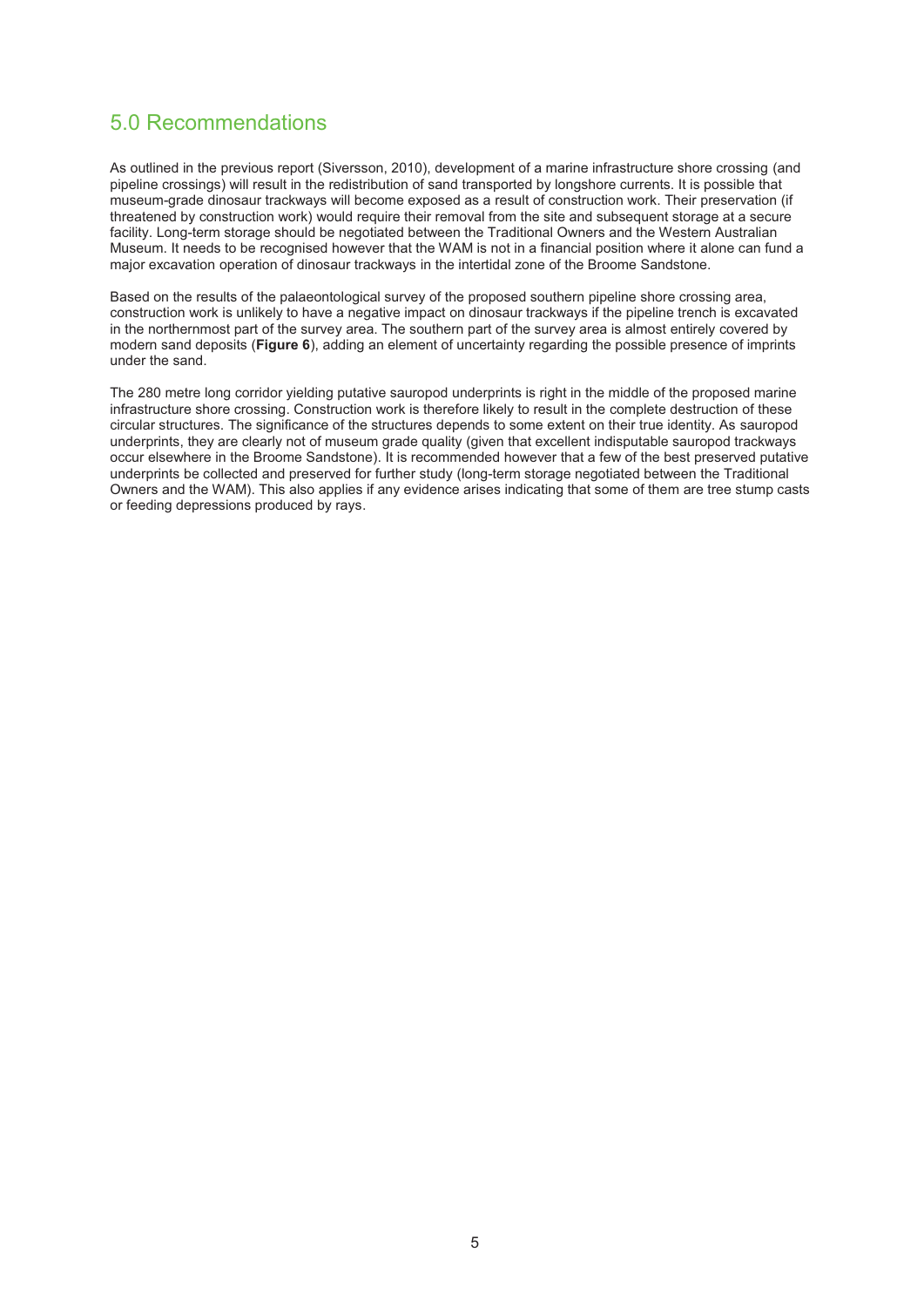# 5.0 Recommendations

As outlined in the previous report (Siversson, 2010), development of a marine infrastructure shore crossing (and pipeline crossings) will result in the redistribution of sand transported by longshore currents. It is possible that museum-grade dinosaur trackways will become exposed as a result of construction work. Their preservation (if threatened by construction work) would require their removal from the site and subsequent storage at a secure facility. Long-term storage should be negotiated between the Traditional Owners and the Western Australian Museum. It needs to be recognised however that the WAM is not in a financial position where it alone can fund a major excavation operation of dinosaur trackways in the intertidal zone of the Broome Sandstone.

Based on the results of the palaeontological survey of the proposed southern pipeline shore crossing area, construction work is unlikely to have a negative impact on dinosaur trackways if the pipeline trench is excavated in the northernmost part of the survey area. The southern part of the survey area is almost entirely covered by modern sand deposits (**Figure 6**), adding an element of uncertainty regarding the possible presence of imprints under the sand.

The 280 metre long corridor yielding putative sauropod underprints is right in the middle of the proposed marine infrastructure shore crossing. Construction work is therefore likely to result in the complete destruction of these circular structures. The significance of the structures depends to some extent on their true identity. As sauropod underprints, they are clearly not of museum grade quality (given that excellent indisputable sauropod trackways occur elsewhere in the Broome Sandstone). It is recommended however that a few of the best preserved putative underprints be collected and preserved for further study (long-term storage negotiated between the Traditional Owners and the WAM). This also applies if any evidence arises indicating that some of them are tree stump casts or feeding depressions produced by rays.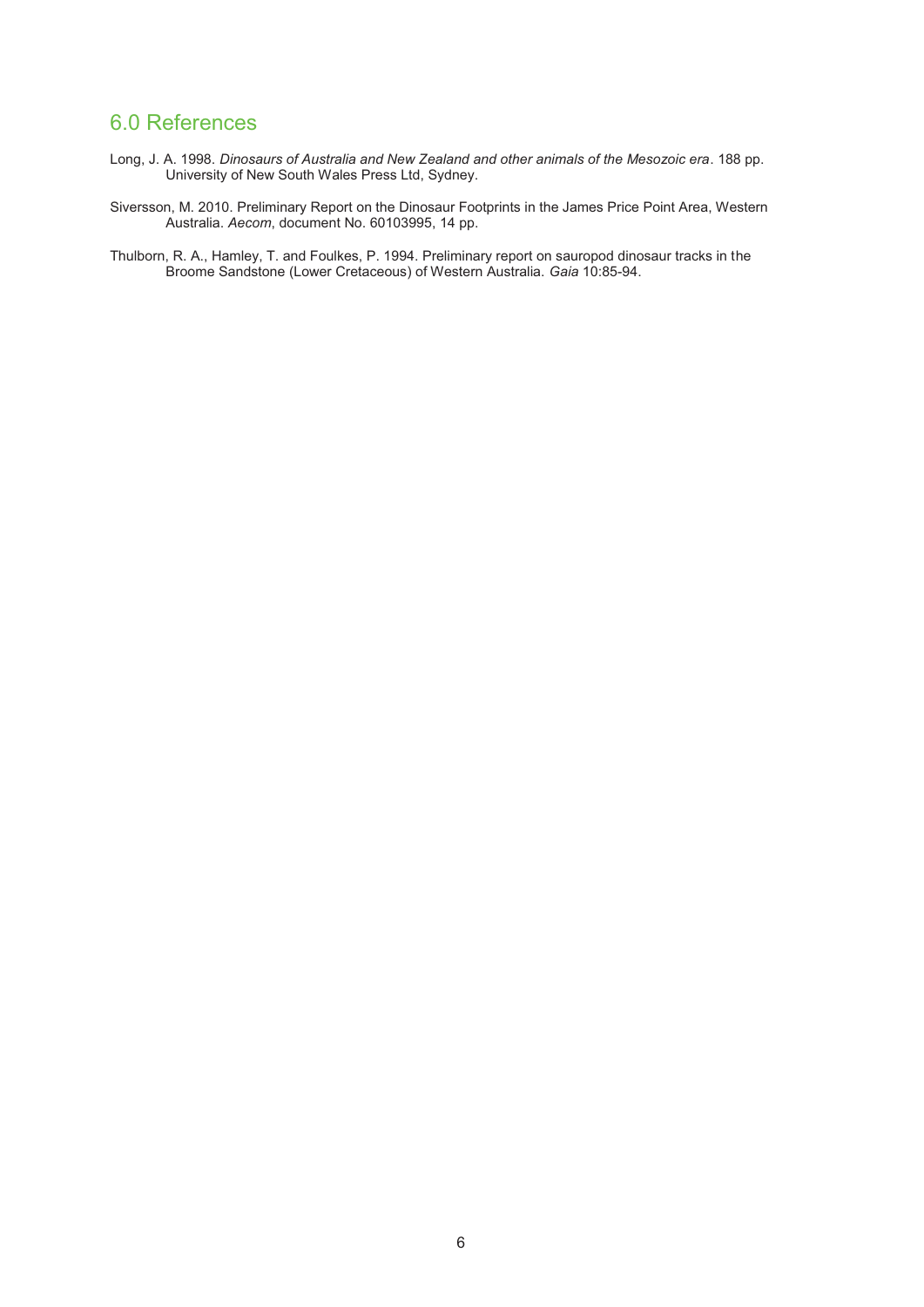# 6.0 References

- Long, J. A. 1998. *Dinosaurs of Australia and New Zealand and other animals of the Mesozoic era*. 188 pp. University of New South Wales Press Ltd, Sydney.
- Siversson, M. 2010. Preliminary Report on the Dinosaur Footprints in the James Price Point Area, Western Australia. *Aecom*, document No. 60103995, 14 pp.
- Thulborn, R. A., Hamley, T. and Foulkes, P. 1994. Preliminary report on sauropod dinosaur tracks in the Broome Sandstone (Lower Cretaceous) of Western Australia. *Gaia* 10:85-94.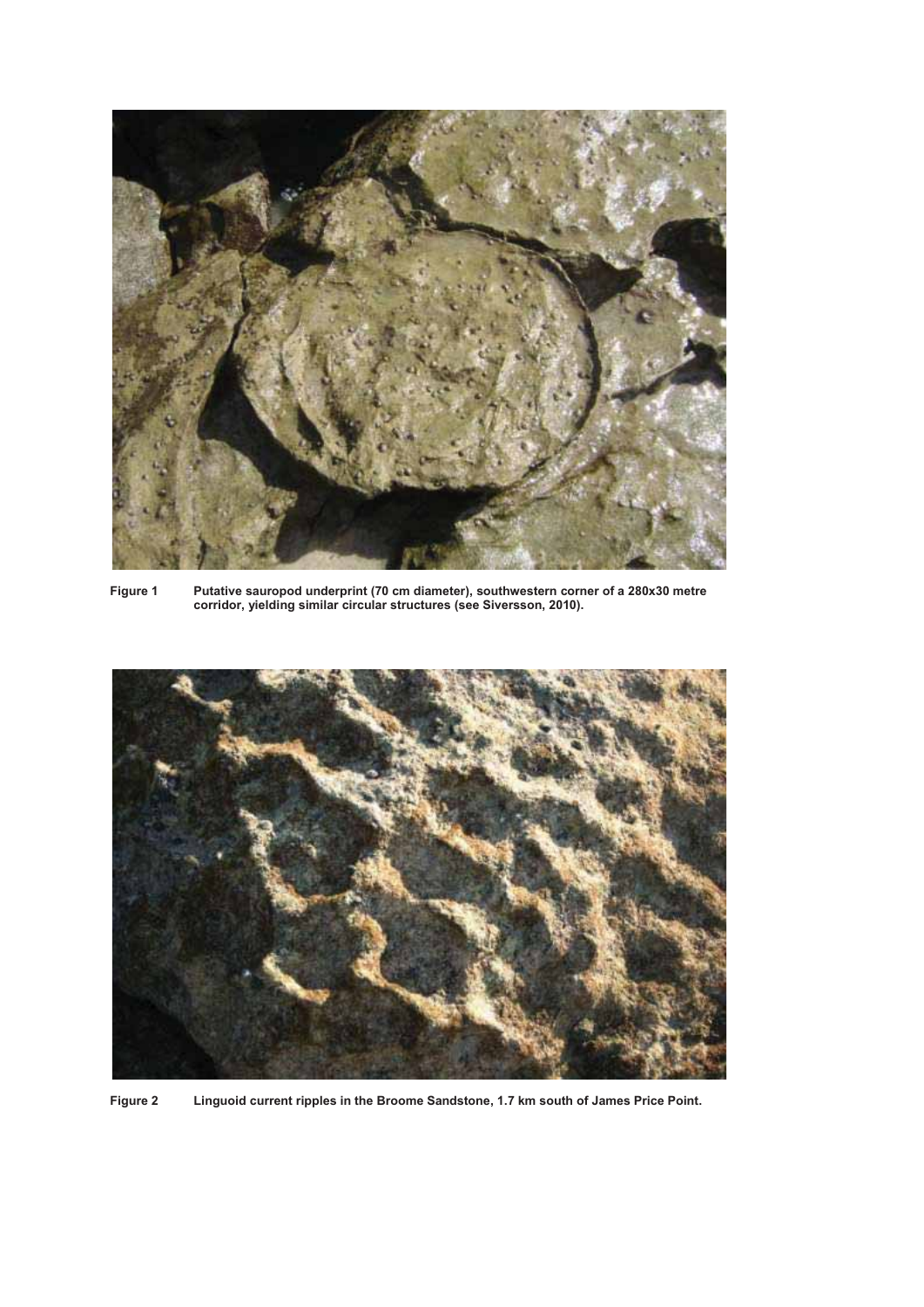

**Figure 1 Putative sauropod underprint (70 cm diameter), southwestern corner of a 280x30 metre corridor, yielding similar circular structures (see Siversson, 2010).** 



**Figure 2 Linguoid current ripples in the Broome Sandstone, 1.7 km south of James Price Point.**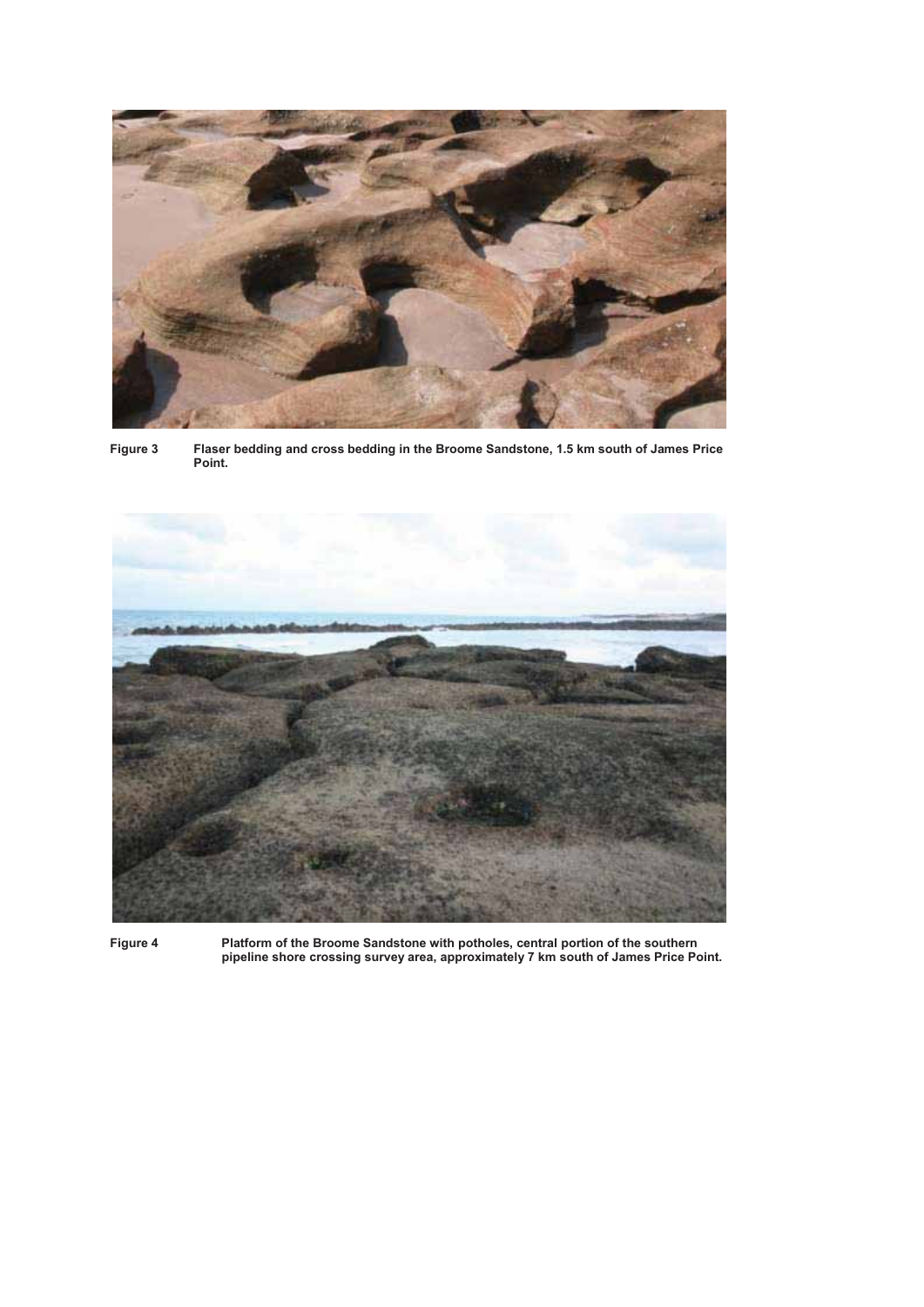

**Figure 3 Flaser bedding and cross bedding in the Broome Sandstone, 1.5 km south of James Price Point.** 



**Figure 4 Platform of the Broome Sandstone with potholes, central portion of the southern pipeline shore crossing survey area, approximately 7 km south of James Price Point.**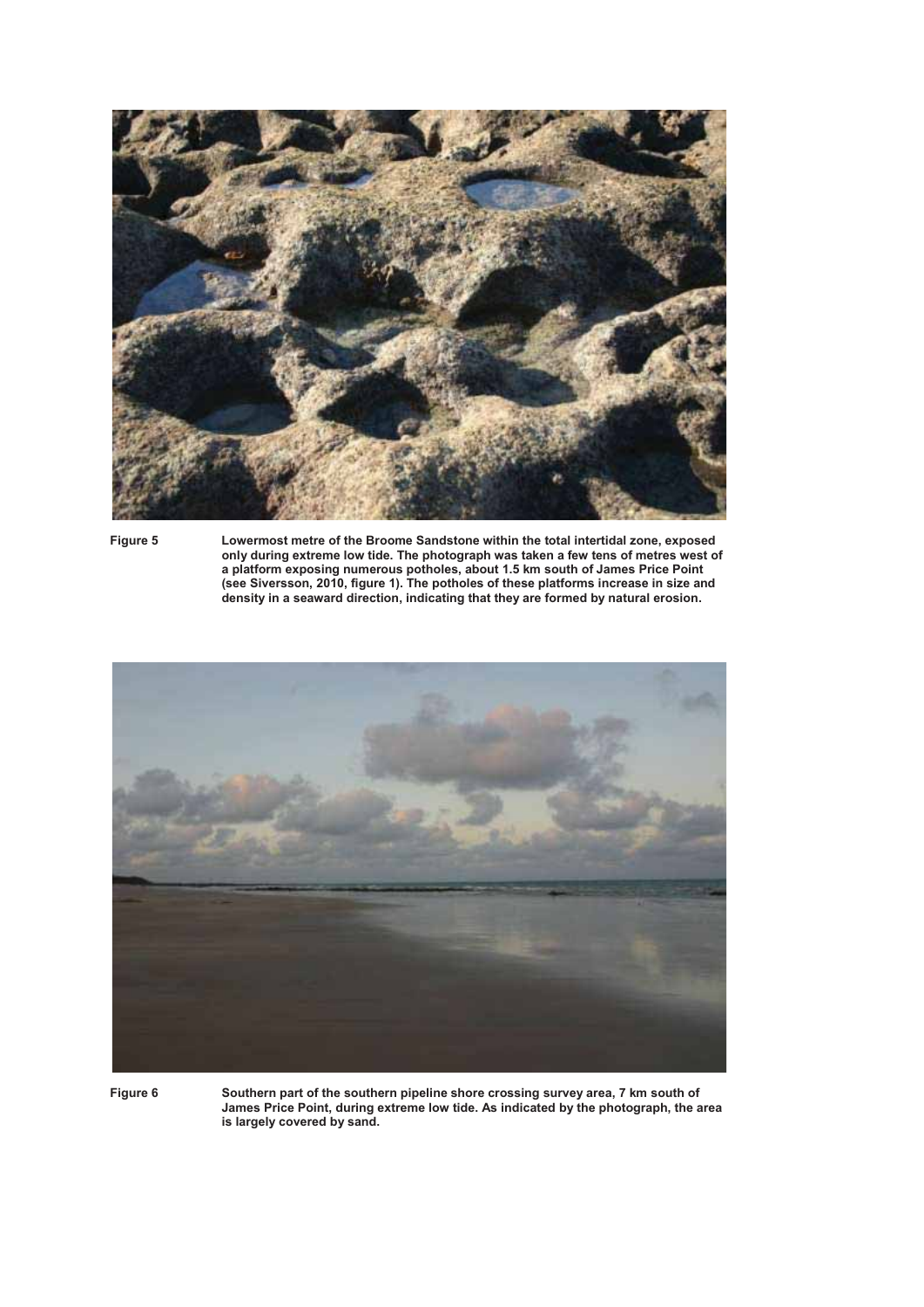

**Figure 5 Lowermost metre of the Broome Sandstone within the total intertidal zone, exposed only during extreme low tide. The photograph was taken a few tens of metres west of a platform exposing numerous potholes, about 1.5 km south of James Price Point (see Siversson, 2010, figure 1). The potholes of these platforms increase in size and density in a seaward direction, indicating that they are formed by natural erosion.** 



**Figure 6 Southern part of the southern pipeline shore crossing survey area, 7 km south of James Price Point, during extreme low tide. As indicated by the photograph, the area is largely covered by sand.**